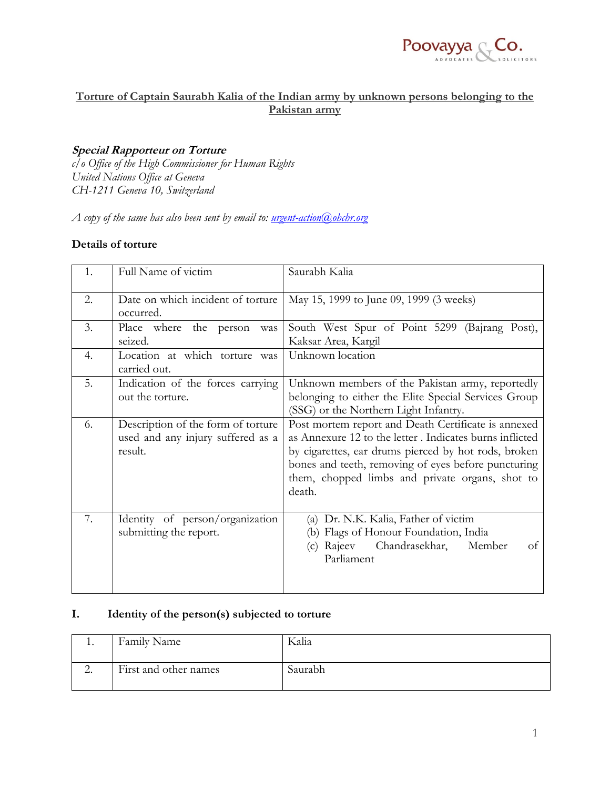

## **Torture of Captain Saurabh Kalia of the Indian army by unknown persons belonging to the Pakistan army**

### **Special Rapporteur on Torture**

*c/o Office of the High Commissioner for Human Rights United Nations Office at Geneva CH-1211 Geneva 10, Switzerland*

*A copy of the same has also been sent by email to: [urgent-action@ohchr.org](mailto:urgent-action@ohchr.org)*

### **Details of torture**

| 1. | Full Name of victim                                                                | Saurabh Kalia                                                                                                                                                                                                                                                                              |
|----|------------------------------------------------------------------------------------|--------------------------------------------------------------------------------------------------------------------------------------------------------------------------------------------------------------------------------------------------------------------------------------------|
| 2. | Date on which incident of torture<br>occurred.                                     | May 15, 1999 to June 09, 1999 (3 weeks)                                                                                                                                                                                                                                                    |
| 3. | Place where<br>the person<br>was<br>seized.                                        | South West Spur of Point 5299 (Bajrang Post),<br>Kaksar Area, Kargil                                                                                                                                                                                                                       |
| 4. | Location at which torture was<br>carried out.                                      | Unknown location                                                                                                                                                                                                                                                                           |
| 5. | Indication of the forces carrying<br>out the torture.                              | Unknown members of the Pakistan army, reportedly<br>belonging to either the Elite Special Services Group<br>(SSG) or the Northern Light Infantry.                                                                                                                                          |
| 6. | Description of the form of torture<br>used and any injury suffered as a<br>result. | Post mortem report and Death Certificate is annexed<br>as Annexure 12 to the letter. Indicates burns inflicted<br>by cigarettes, ear drums pierced by hot rods, broken<br>bones and teeth, removing of eyes before puncturing<br>them, chopped limbs and private organs, shot to<br>death. |
| 7. | Identity of person/organization<br>submitting the report.                          | Dr. N.K. Kalia, Father of victim<br>(a)<br>Flags of Honour Foundation, India<br>(b)<br>Chandrasekhar,<br>Member<br>Rajeev<br>of<br>(c)<br>Parliament                                                                                                                                       |

### **I. Identity of the person(s) subjected to torture**

| . .                      | Family Name           | Kalia   |
|--------------------------|-----------------------|---------|
| $\overline{\phantom{a}}$ | First and other names | Saurabh |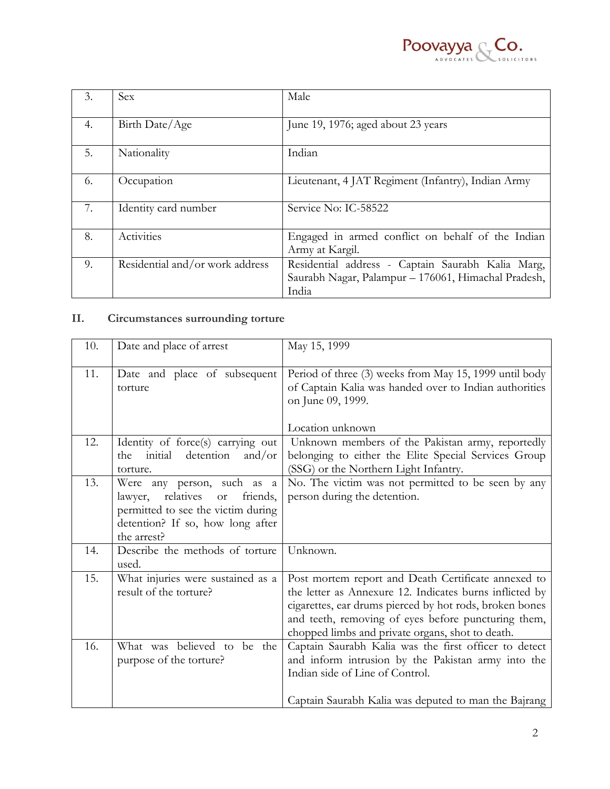

| 3. | Sex                             | Male                                                                                                              |
|----|---------------------------------|-------------------------------------------------------------------------------------------------------------------|
| 4. | Birth Date/Age                  | June 19, 1976; aged about 23 years                                                                                |
| 5. | Nationality                     | Indian                                                                                                            |
| 6. | Occupation                      | Lieutenant, 4 JAT Regiment (Infantry), Indian Army                                                                |
| 7. | Identity card number            | Service No: IC-58522                                                                                              |
| 8. | Activities                      | Engaged in armed conflict on behalf of the Indian<br>Army at Kargil.                                              |
| 9. | Residential and/or work address | Residential address - Captain Saurabh Kalia Marg,<br>Saurabh Nagar, Palampur - 176061, Himachal Pradesh,<br>India |

# **II. Circumstances surrounding torture**

| 10. | Date and place of arrest                        | May 15, 1999                                                                                                                          |
|-----|-------------------------------------------------|---------------------------------------------------------------------------------------------------------------------------------------|
| 11. | Date and place of subsequent<br>torture         | Period of three (3) weeks from May 15, 1999 until body<br>of Captain Kalia was handed over to Indian authorities<br>on June 09, 1999. |
|     |                                                 | Location unknown                                                                                                                      |
| 12. | Identity of force(s) carrying out               | Unknown members of the Pakistan army, reportedly                                                                                      |
|     | detention<br>initial<br>and/or<br>the           | belonging to either the Elite Special Services Group                                                                                  |
|     | torture.                                        | (SSG) or the Northern Light Infantry.                                                                                                 |
| 13. | Were any person, such as a                      | No. The victim was not permitted to be seen by any                                                                                    |
|     | relatives<br>friends,<br>lawyer,<br><b>or</b>   | person during the detention.                                                                                                          |
|     | permitted to see the victim during              |                                                                                                                                       |
|     | detention? If so, how long after<br>the arrest? |                                                                                                                                       |
|     |                                                 |                                                                                                                                       |
| 14. | Describe the methods of torture<br>used.        | Unknown.                                                                                                                              |
| 15. | What injuries were sustained as a               | Post mortem report and Death Certificate annexed to                                                                                   |
|     | result of the torture?                          | the letter as Annexure 12. Indicates burns inflicted by                                                                               |
|     |                                                 | cigarettes, ear drums pierced by hot rods, broken bones                                                                               |
|     |                                                 | and teeth, removing of eyes before puncturing them,                                                                                   |
|     |                                                 | chopped limbs and private organs, shot to death.                                                                                      |
| 16. | What was believed to be the                     | Captain Saurabh Kalia was the first officer to detect                                                                                 |
|     | purpose of the torture?                         | and inform intrusion by the Pakistan army into the                                                                                    |
|     |                                                 | Indian side of Line of Control.                                                                                                       |
|     |                                                 | Captain Saurabh Kalia was deputed to man the Bajrang                                                                                  |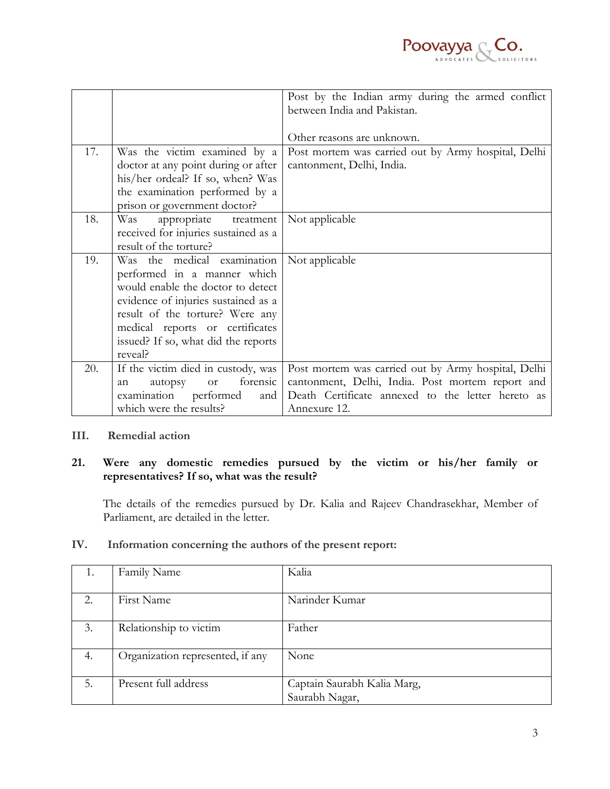

|     |                                        | Post by the Indian army during the armed conflict<br>between India and Pakistan. |
|-----|----------------------------------------|----------------------------------------------------------------------------------|
|     |                                        | Other reasons are unknown.                                                       |
| 17. | Was the victim examined by a           | Post mortem was carried out by Army hospital, Delhi                              |
|     | doctor at any point during or after    | cantonment, Delhi, India.                                                        |
|     | his/her ordeal? If so, when? Was       |                                                                                  |
|     | the examination performed by a         |                                                                                  |
|     | prison or government doctor?           |                                                                                  |
| 18. | appropriate treatment<br>Was           | Not applicable                                                                   |
|     | received for injuries sustained as a   |                                                                                  |
|     | result of the torture?                 |                                                                                  |
| 19. | Was the medical examination            | Not applicable                                                                   |
|     | performed in a manner which            |                                                                                  |
|     | would enable the doctor to detect      |                                                                                  |
|     | evidence of injuries sustained as a    |                                                                                  |
|     | result of the torture? Were any        |                                                                                  |
|     | medical reports or certificates        |                                                                                  |
|     | issued? If so, what did the reports    |                                                                                  |
|     | reveal?                                |                                                                                  |
| 20. | If the victim died in custody, was     | Post mortem was carried out by Army hospital, Delhi                              |
|     | forensic<br><b>or</b><br>autopsy<br>an | cantonment, Delhi, India. Post mortem report and                                 |
|     | examination<br>performed<br>and        | Death Certificate annexed to the letter hereto as                                |
|     | which were the results?                | Annexure 12.                                                                     |

### **III. Remedial action**

## **21. Were any domestic remedies pursued by the victim or his/her family or representatives? If so, what was the result?**

The details of the remedies pursued by Dr. Kalia and Rajeev Chandrasekhar, Member of Parliament, are detailed in the letter.

| 1.                    | Family Name                      | Kalia                       |
|-----------------------|----------------------------------|-----------------------------|
|                       |                                  |                             |
| $\mathcal{D}_{\cdot}$ | First Name                       | Narinder Kumar              |
|                       |                                  |                             |
| 3.                    | Relationship to victim           | Father                      |
|                       |                                  |                             |
| 4.                    | Organization represented, if any | None                        |
|                       |                                  |                             |
| 5.                    | Present full address             | Captain Saurabh Kalia Marg, |
|                       |                                  | Saurabh Nagar,              |

#### **IV. Information concerning the authors of the present report:**